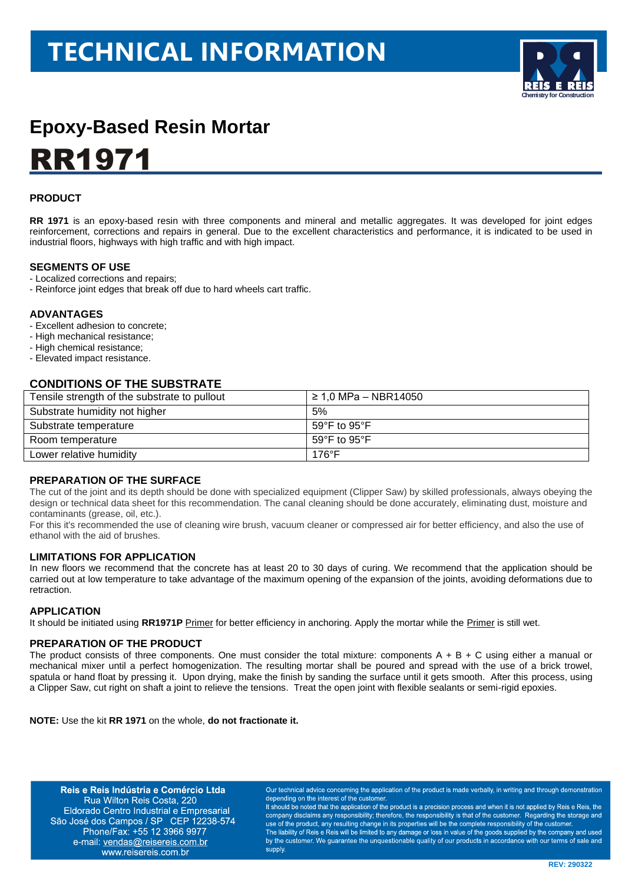# **TECHNICAL INFORMATION**



# **Epoxy-Based Resin Mortar RR1971**

## **PRODUCT**

**RR 1971** is an epoxy-based resin with three components and mineral and metallic aggregates. It was developed for joint edges reinforcement, corrections and repairs in general. Due to the excellent characteristics and performance, it is indicated to be used in industrial floors, highways with high traffic and with high impact.

#### **SEGMENTS OF USE**

- Localized corrections and repairs;
- Reinforce joint edges that break off due to hard wheels cart traffic.

#### **ADVANTAGES**

- Excellent adhesion to concrete;
- High mechanical resistance;
- High chemical resistance;
- Elevated impact resistance.

## **CONDITIONS OF THE SUBSTRATE**

| Tensile strength of the substrate to pullout | ≥ 1,0 MPa – NBR14050             |
|----------------------------------------------|----------------------------------|
| Substrate humidity not higher                | 5%                               |
| Substrate temperature                        | 59°F to 95°F                     |
| Room temperature                             | 59 $\degree$ F to 95 $\degree$ F |
| Lower relative humidity                      | $176^{\circ}F$                   |

## **PREPARATION OF THE SURFACE**

The cut of the joint and its depth should be done with specialized equipment (Clipper Saw) by skilled professionals, always obeying the design or technical data sheet for this recommendation. The canal cleaning should be done accurately, eliminating dust, moisture and contaminants (grease, oil, etc.).

For this it's recommended the use of cleaning wire brush, vacuum cleaner or compressed air for better efficiency, and also the use of ethanol with the aid of brushes.

## **LIMITATIONS FOR APPLICATION**

In new floors we recommend that the concrete has at least 20 to 30 days of curing. We recommend that the application should be carried out at low temperature to take advantage of the maximum opening of the expansion of the joints, avoiding deformations due to retraction.

#### **APPLICATION**

It should be initiated using RR1971P Primer for better efficiency in anchoring. Apply the mortar while the Primer is still wet.

#### **PREPARATION OF THE PRODUCT**

The product consists of three components. One must consider the total mixture: components  $A + B + C$  using either a manual or mechanical mixer until a perfect homogenization. The resulting mortar shall be poured and spread with the use of a brick trowel, spatula or hand float by pressing it. Upon drying, make the finish by sanding the surface until it gets smooth. After this process, using a Clipper Saw, cut right on shaft a joint to relieve the tensions. Treat the open joint with flexible sealants or semi-rigid epoxies.

**NOTE:** Use the kit **RR 1971** on the whole, **do not fractionate it.**

Reis e Reis Indústria e Comércio Ltda Rua Wilton Reis Costa, 220 Eldorado Centro Industrial e Empresarial São José dos Campos / SP CEP 12238-574 Phone/Fax: +55 12 3966 9977 e-mail: vendas@reisereis.com.br www.reisereis.com.br

Our technical advice concerning the application of the product is made verbally, in writing and through demonstration depending on the interest of the custome

It should be noted that the application of the product is a precision process and when it is not applied by Reis e Reis, the company disclaims any responsibility; therefore, the responsibility is that of the customer. Regarding the storage and use of the product, any resulting change in its properties will be the complete responsibility of the customer. The liability of Reis e Reis will be limited to any damage or loss in value of the goods supplied by the company and used by the customer. We quarantee the unquestionable quality of our products in accordance with our terms of sale and supply.